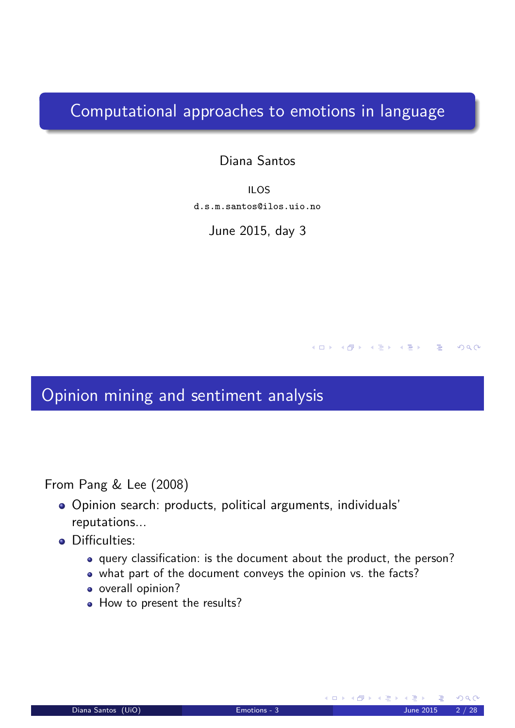#### Computational approaches to emotions in language

Diana Santos

ILOS d.s.m.santos@ilos.uio.no

June 2015, day 3

#### Opinion mining and sentiment analysis

From Pang & Lee (2008)

- Opinion search: products, political arguments, individuals' reputations...
- <span id="page-0-0"></span>**•** Difficulties:
	- query classification: is the document about the product, the person?
	- what part of the document conveys the opinion vs. the facts?
	- o overall opinion?
	- How to present the results?

(□ ) ( ④ ) ( ③ ) ( ③ ) ( ③ )

 $DQ$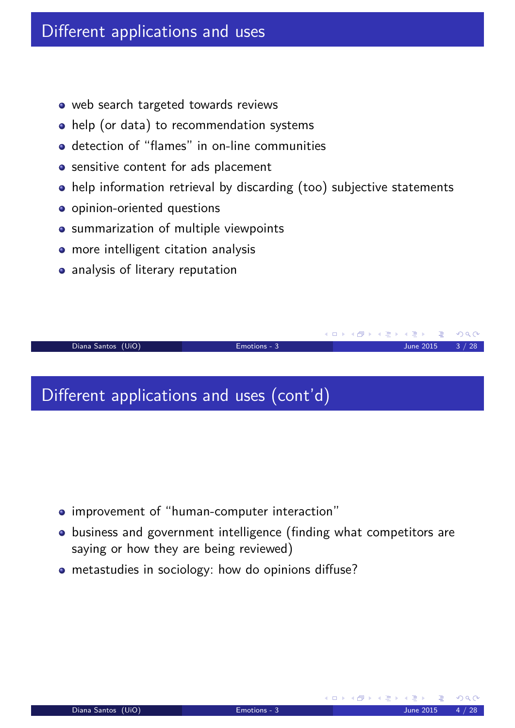#### Different applications and uses

- web search targeted towards reviews
- help (or data) to recommendation systems
- detection of "flames" in on-line communities
- **•** sensitive content for ads placement
- help information retrieval by discarding (too) subjective statements
- o opinion-oriented questions
- **•** summarization of multiple viewpoints
- more intelligent citation analysis
- analysis of literary reputation

(ロ) (個) (星) (星) Diana Santos (UiO) Emotions - 3 June 2015 3 / 28

#### Different applications and uses (cont'd)

- improvement of "human-computer interaction"
- business and government intelligence (finding what competitors are saying or how they are being reviewed)
- <span id="page-1-0"></span>metastudies in sociology: how do opinions diffuse?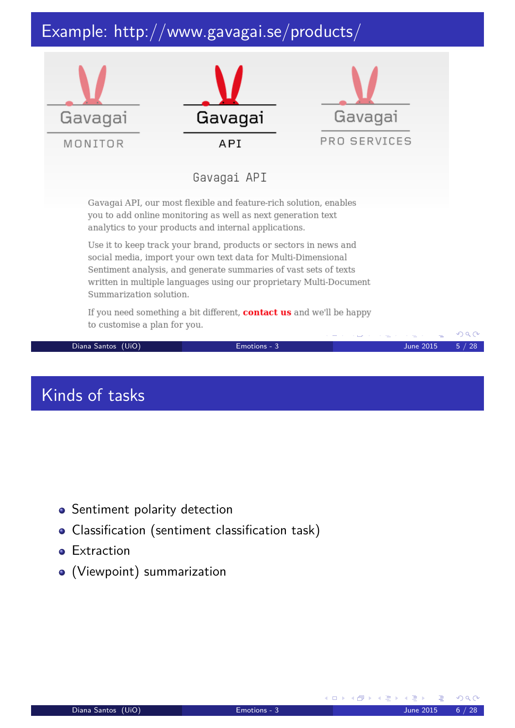# Example: http://www.gavagai.se/products/



- **•** Sentiment polarity detection
- Classification (sentiment classification task)
- **•** Extraction
- <span id="page-2-0"></span>(Viewpoint) summarization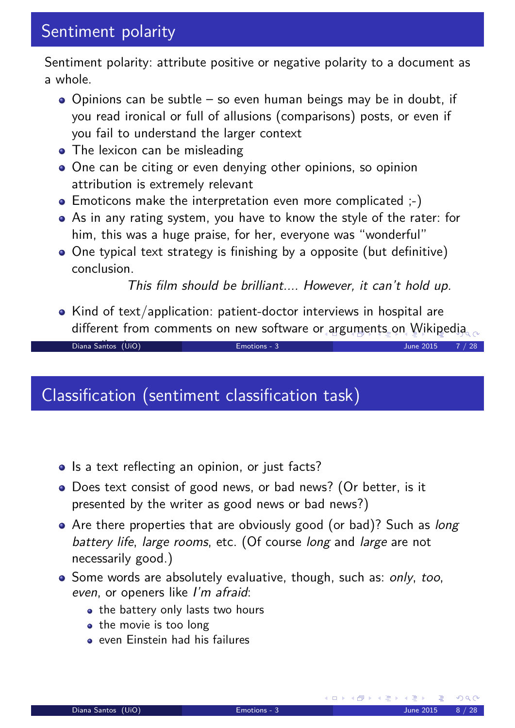Sentiment polarity: attribute positive or negative polarity to a document as a whole.

- $\bullet$  Opinions can be subtle so even human beings may be in doubt, if you read ironical or full of allusions (comparisons) posts, or even if you fail to understand the larger context
- The lexicon can be misleading
- One can be citing or even denying other opinions, so opinion attribution is extremely relevant
- Emoticons make the interpretation even more complicated  $;-$ )
- As in any rating system, you have to know the style of the rater: for him, this was a huge praise, for her, everyone was "wonderful"
- One typical text strategy is finishing by a opposite (but definitive) conclusion.

This film should be brilliant.... However, it can't hold up.

• Kind of text/application: patient-doctor interviews in hospital are different from comments on new software or arguments on Wikipedia

contributions Diana Santos (UiO) Emotions - 3 June 2015 7 / 28

#### Classification (sentiment classification task)

- Is a text reflecting an opinion, or just facts?
- Does text consist of good news, or bad news? (Or better, is it presented by the writer as good news or bad news?)
- Are there properties that are obviously good (or bad)? Such as *long* battery life, large rooms, etc. (Of course long and large are not necessarily good.)
- <span id="page-3-0"></span>• Some words are absolutely evaluative, though, such as: only, too, even, or openers like I'm afraid:
	- the battery only lasts two hours
	- the movie is too long
	- even Einstein had his failures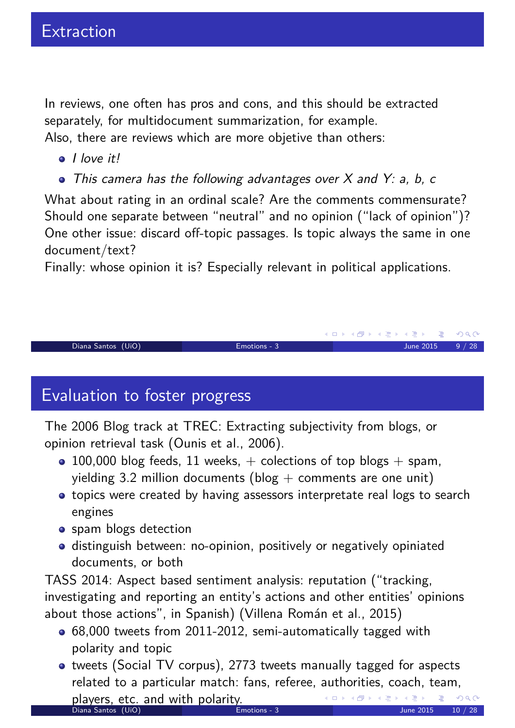In reviews, one often has pros and cons, and this should be extracted separately, for multidocument summarization, for example. Also, there are reviews which are more objetive than others:

- I love it!
- This camera has the following advantages over X and Y: a, b, c

What about rating in an ordinal scale? Are the comments commensurate? Should one separate between "neutral" and no opinion ("lack of opinion")? One other issue: discard off-topic passages. Is topic always the same in one document/text?

Finally: whose opinion it is? Especially relevant in political applications.

#### Diana Santos (UiO) Emotions - 3 June 2015 9 / 28

## Evaluation to foster progress

The 2006 Blog track at TREC: Extracting subjectivity from blogs, or opinion retrieval task (Ounis et al., 2006).

- 100,000 blog feeds, 11 weeks,  $+$  colections of top blogs  $+$  spam, yielding 3.2 million documents (blog  $+$  comments are one unit)
- topics were created by having assessors interpretate real logs to search engines
- **o** spam blogs detection
- distinguish between: no-opinion, positively or negatively opiniated documents, or both

TASS 2014: Aspect based sentiment analysis: reputation ("tracking, investigating and reporting an entity's actions and other entities' opinions about those actions", in Spanish) (Villena Román et al., 2015)

- 68,000 tweets from 2011-2012, semi-automatically tagged with polarity and topic
- tweets (Social TV corpus), 2773 tweets manually tagged for aspects related to a particular match: fans, referee, authorities, coach, team, players, etc. and with polarity.<br>Diana Santos (UiO) Blood Bloods - 3

K ロ ▶ K @ ▶ K 경 ▶ K 경 ▶ │ 경

 $OQ$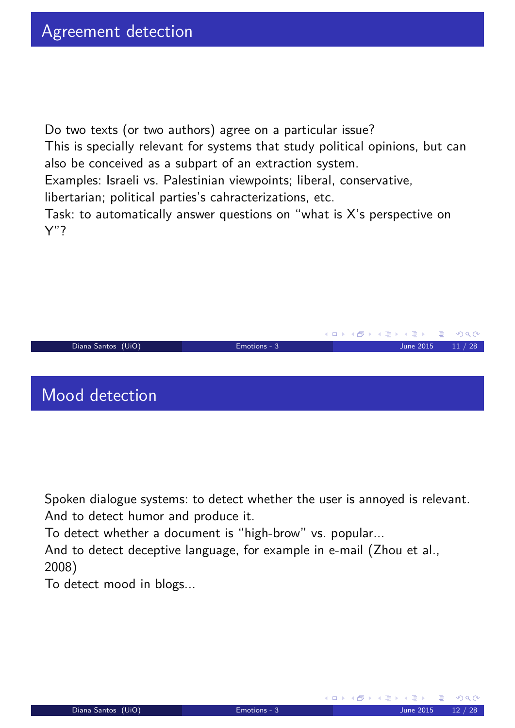Y"?

Do two texts (or two authors) agree on a particular issue? This is specially relevant for systems that study political opinions, but can also be conceived as a subpart of an extraction system. Examples: Israeli vs. Palestinian viewpoints; liberal, conservative, libertarian; political parties's cahracterizations, etc.

Task: to automatically answer questions on "what is X's perspective on



Spoken dialogue systems: to detect whether the user is annoyed is relevant. And to detect humor and produce it.

To detect whether a document is "high-brow" vs. popular...

And to detect deceptive language, for example in e-mail (Zhou et al., 2008)

<span id="page-5-0"></span>To detect mood in blogs...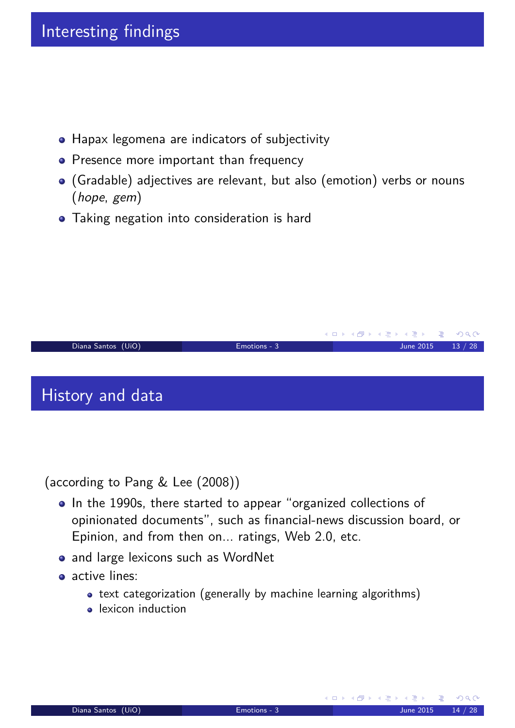- Hapax legomena are indicators of subjectivity
- Presence more important than frequency
- (Gradable) adjectives are relevant, but also (emotion) verbs or nouns (hope, gem)
- Taking negation into consideration is hard



(according to Pang & Lee (2008))

- In the 1990s, there started to appear "organized collections of opinionated documents", such as financial-news discussion board, or Epinion, and from then on... ratings, Web 2.0, etc.
- and large lexicons such as WordNet
- <span id="page-6-0"></span>• active lines:
	- text categorization (generally by machine learning algorithms)
	- lexicon induction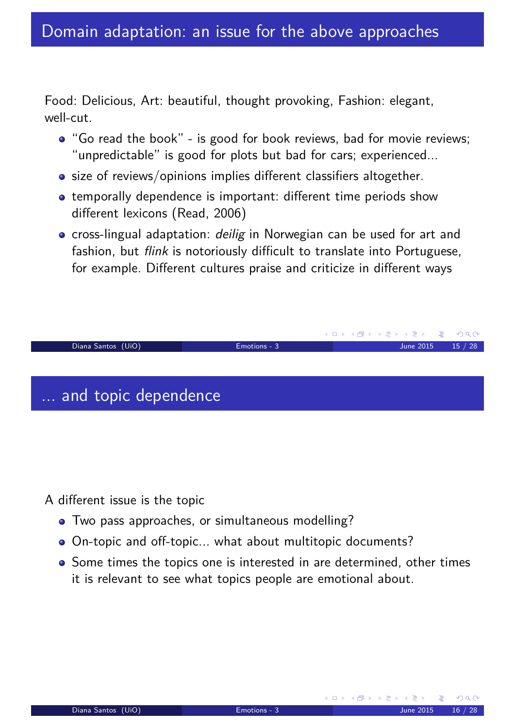Food: Delicious, Art: beautiful, thought provoking, Fashion: elegant, well-cut.

- "Go read the book" is good for book reviews, bad for movie reviews; "unpredictable" is good for plots but bad for cars; experienced...
- size of reviews/opinions implies different classifiers altogether.
- temporally dependence is important: different time periods show different lexicons (Read, 2006)
- cross-lingual adaptation: *deilig* in Norwegian can be used for art and fashion, but *flink* is notoriously difficult to translate into Portuguese, for example. Different cultures praise and criticize in different ways



A different issue is the topic

- Two pass approaches, or simultaneous modelling?
- On-topic and off-topic... what about multitopic documents?
- <span id="page-7-0"></span>• Some times the topics one is interested in are determined, other times it is relevant to see what topics people are emotional about.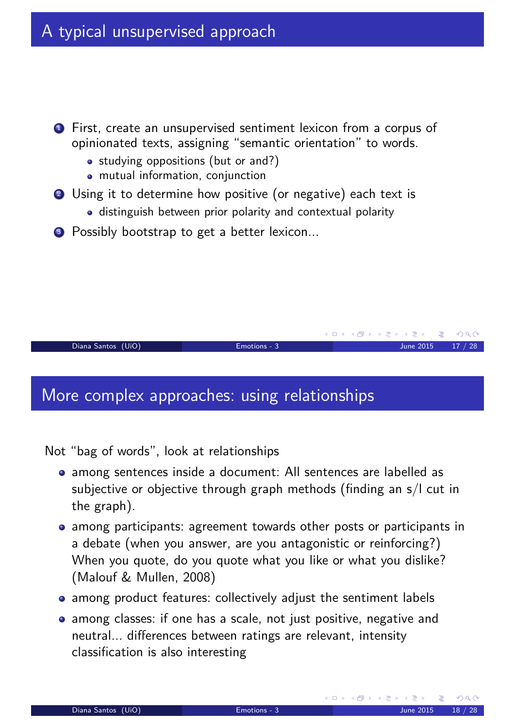- **1** First, create an unsupervised sentiment lexicon from a corpus of opinionated texts, assigning "semantic orientation" to words.
	- studying oppositions (but or and?)
	- mutual information, conjunction
- 2 Using it to determine how positive (or negative) each text is
	- distinguish between prior polarity and contextual polarity
- <sup>3</sup> Possibly bootstrap to get a better lexicon...

```
Diana Santos (UiO) Emotions - 3 June 2015 17 / 28
```
## More complex approaches: using relationships

Not "bag of words", look at relationships

- among sentences inside a document: All sentences are labelled as subjective or objective through graph methods (finding an s/l cut in the graph).
- among participants: agreement towards other posts or participants in a debate (when you answer, are you antagonistic or reinforcing?) When you quote, do you quote what you like or what you dislike? (Malouf & Mullen, 2008)
- among product features: collectively adjust the sentiment labels
- <span id="page-8-0"></span>• among classes: if one has a scale, not just positive, negative and neutral... differences between ratings are relevant, intensity classification is also interesting

**K ロ ▶ K 御 ▶ K 君 ▶ K 君 ▶** ...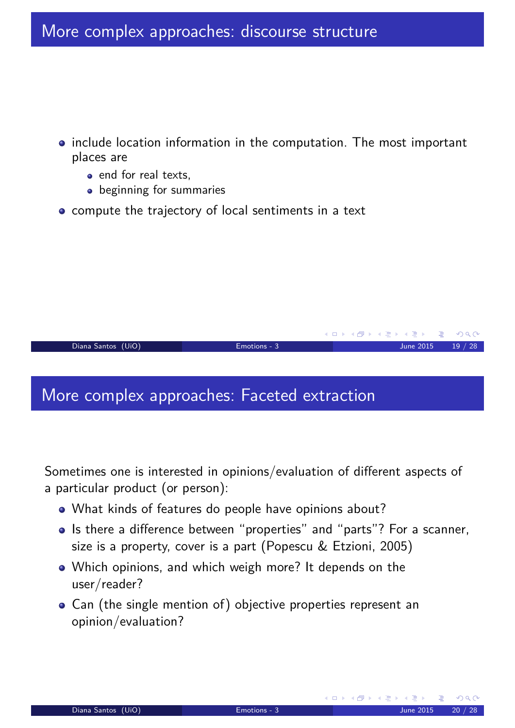- include location information in the computation. The most important places are
	- end for real texts,
	- **•** beginning for summaries
- compute the trajectory of local sentiments in a text

More complex approaches: Faceted extraction

Sometimes one is interested in opinions/evaluation of different aspects of a particular product (or person):

Diana Santos (UiO) Emotions - 3 June 2015 19 / 28

- What kinds of features do people have opinions about?
- Is there a difference between "properties" and "parts"? For a scanner, size is a property, cover is a part (Popescu & Etzioni, 2005)
- Which opinions, and which weigh more? It depends on the user/reader?
- <span id="page-9-0"></span>Can (the single mention of) objective properties represent an opinion/evaluation?

**K ロ ▶ K 御 ▶ K 君 ▶ K 君 ▶** ...

G.

 $OQ$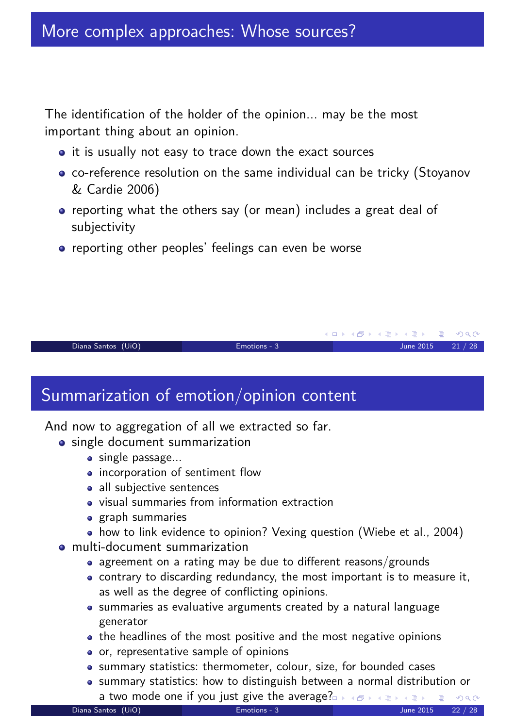The identification of the holder of the opinion... may be the most important thing about an opinion.

- it is usually not easy to trace down the exact sources
- co-reference resolution on the same individual can be tricky (Stoyanov & Cardie 2006)
- reporting what the others say (or mean) includes a great deal of subjectivity
- reporting other peoples' feelings can even be worse

Diana Santos (UiO) Emotions - 3 June 2015 21 / 28

### Summarization of emotion/opinion content

And now to aggregation of all we extracted so far.

- single document summarization
	- single passage...
	- incorporation of sentiment flow
	- all subjective sentences
	- visual summaries from information extraction
	- **•** graph summaries
	- how to link evidence to opinion? Vexing question (Wiebe et al., 2004)
- <span id="page-10-0"></span>multi-document summarization
	- agreement on a rating may be due to different reasons/grounds
	- contrary to discarding redundancy, the most important is to measure it, as well as the degree of conflicting opinions.
	- summaries as evaluative arguments created by a natural language generator
	- the headlines of the most positive and the most negative opinions
	- o or, representative sample of opinions
	- summary statistics: thermometer, colour, size, for bounded cases
	- summary statistics: how to distinguish between a normal distribution or a two mode one if you just give the average?

K ロ ▶ K @ ▶ K 할 ▶ K 할 ▶ .. 할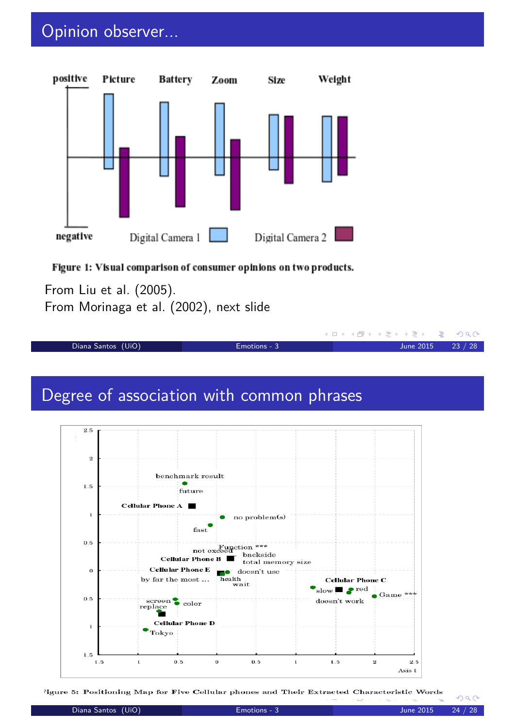## Opinion observer...



#### Figure 1: Visual comparison of consumer opinions on two products.

From Liu et al. (2005). From Morinaga et al. (2002), next slide

Diana Santos (UiO) Emotions - 3 June 2015 23 / 28

#### Degree of association with common phrases



ligure 5: Positioning Map for Five Cellular phones and Their Extracted Characteristic Words

<span id="page-11-0"></span> $OQ$ 

**◆ロト ◆ ⑦ト ◆ ミト ◆ ミト │ ミー ◇ 9 Q ⊙**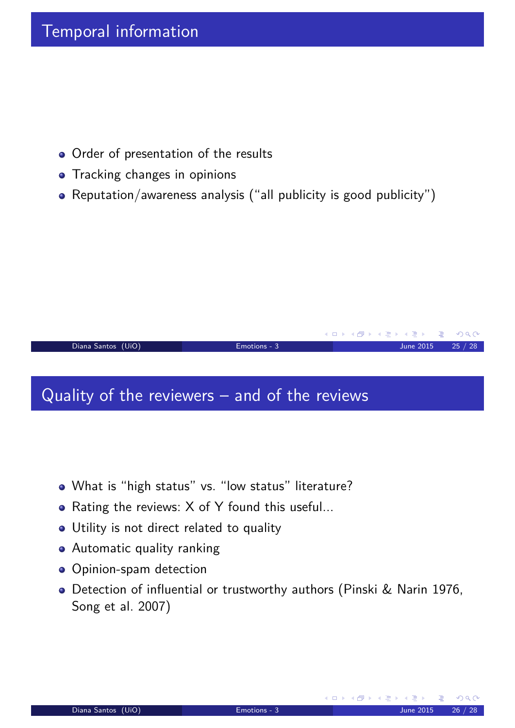#### Temporal information

- Order of presentation of the results
- Tracking changes in opinions
- Reputation/awareness analysis ("all publicity is good publicity")

#### Diana Santos (UiO) Emotions - 3 June 2015 25 / 28

#### Quality of the reviewers – and of the reviews

- What is "high status" vs. "low status" literature?
- Rating the reviews: X of Y found this useful...
- Utility is not direct related to quality
- Automatic quality ranking
- **·** Opinion-spam detection
- <span id="page-12-0"></span>Detection of influential or trustworthy authors (Pinski & Narin 1976, Song et al. 2007)

**K ロ ▶ K 御 ▶ K 君 ▶ K 君 ▶** ...

G.

 $OQ$